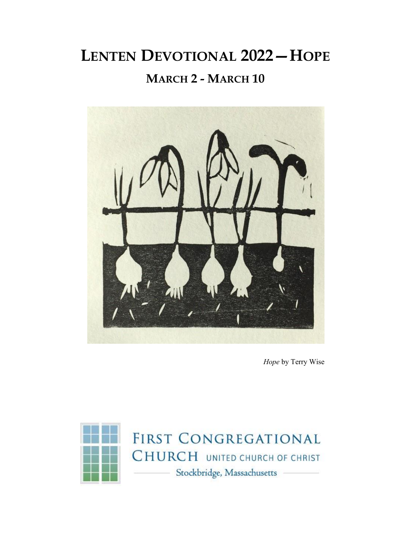# **LENTEN DEVOTIONAL 2022—HOPE MARCH 2 - MARCH 10**



*Hope* by Terry Wise

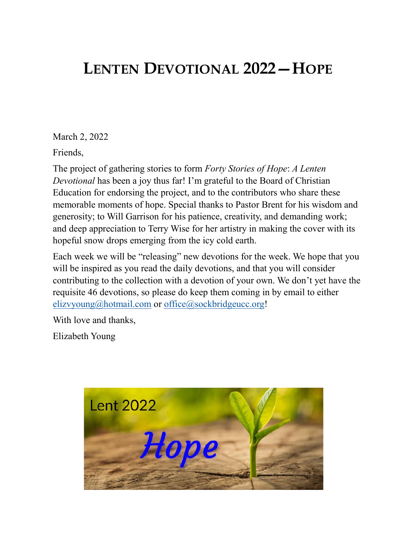## **LENTEN DEVOTIONAL 2022—HOPE**

March 2, 2022

Friends,

The project of gathering stories to form *Forty Stories of Hope*: *A Lenten Devotional* has been a joy thus far! I'm grateful to the Board of Christian Education for endorsing the project, and to the contributors who share these memorable moments of hope. Special thanks to Pastor Brent for his wisdom and generosity; to Will Garrison for his patience, creativity, and demanding work; and deep appreciation to Terry Wise for her artistry in making the cover with its hopeful snow drops emerging from the icy cold earth.

Each week we will be "releasing" new devotions for the week. We hope that you will be inspired as you read the daily devotions, and that you will consider contributing to the collection with a devotion of your own. We don't yet have the requisite 46 devotions, so please do keep them coming in by email to either [elizvyoung@hotmail.com](mailto:elizvyoung@hotmail.com) or office@sockbridgeucc.org!

With love and thanks,

Elizabeth Young

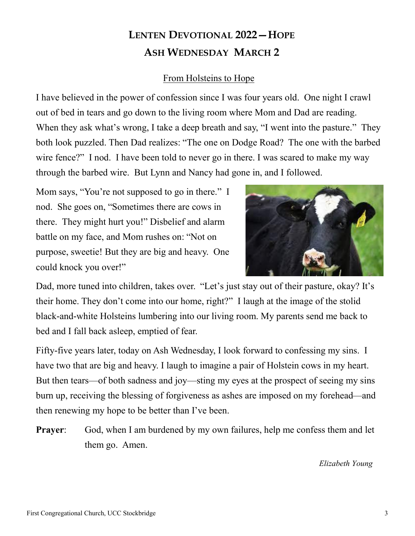### **LENTEN DEVOTIONAL 2022—HOPE ASH WEDNESDAY MARCH 2**

#### From Holsteins to Hope

I have believed in the power of confession since I was four years old. One night I crawl out of bed in tears and go down to the living room where Mom and Dad are reading. When they ask what's wrong, I take a deep breath and say, "I went into the pasture." They both look puzzled. Then Dad realizes: "The one on Dodge Road? The one with the barbed wire fence?" I nod. I have been told to never go in there. I was scared to make my way through the barbed wire. But Lynn and Nancy had gone in, and I followed.

Mom says, "You're not supposed to go in there." I nod. She goes on, "Sometimes there are cows in there. They might hurt you!" Disbelief and alarm battle on my face, and Mom rushes on: "Not on purpose, sweetie! But they are big and heavy. One could knock you over!"



Dad, more tuned into children, takes over. "Let's just stay out of their pasture, okay? It's their home. They don't come into our home, right?" I laugh at the image of the stolid black-and-white Holsteins lumbering into our living room. My parents send me back to bed and I fall back asleep, emptied of fear.

Fifty-five years later, today on Ash Wednesday, I look forward to confessing my sins. I have two that are big and heavy. I laugh to imagine a pair of Holstein cows in my heart. But then tears—of both sadness and joy—sting my eyes at the prospect of seeing my sins burn up, receiving the blessing of forgiveness as ashes are imposed on my forehead—and then renewing my hope to be better than I've been.

**Prayer:** God, when I am burdened by my own failures, help me confess them and let them go. Amen.

*Elizabeth Young*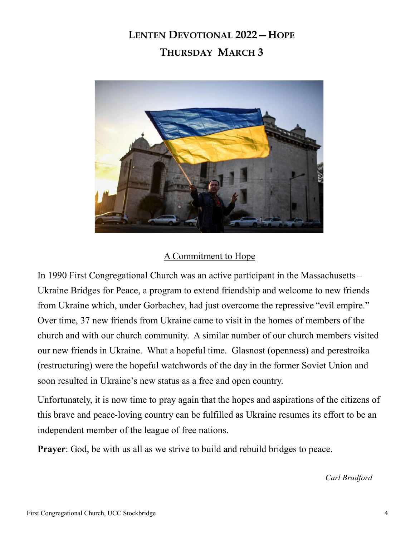### **LENTEN DEVOTIONAL 2022—HOPE THURSDAY MARCH 3**



#### A Commitment to Hope

In 1990 First Congregational Church was an active participant in the Massachusetts – Ukraine Bridges for Peace, a program to extend friendship and welcome to new friends from Ukraine which, under Gorbachev, had just overcome the repressive "evil empire." Over time, 37 new friends from Ukraine came to visit in the homes of members of the church and with our church community. A similar number of our church members visited our new friends in Ukraine. What a hopeful time. Glasnost (openness) and perestroika (restructuring) were the hopeful watchwords of the day in the former Soviet Union and soon resulted in Ukraine's new status as a free and open country.

Unfortunately, it is now time to pray again that the hopes and aspirations of the citizens of this brave and peace-loving country can be fulfilled as Ukraine resumes its effort to be an independent member of the league of free nations.

**Prayer**: God, be with us all as we strive to build and rebuild bridges to peace.

*Carl Bradford*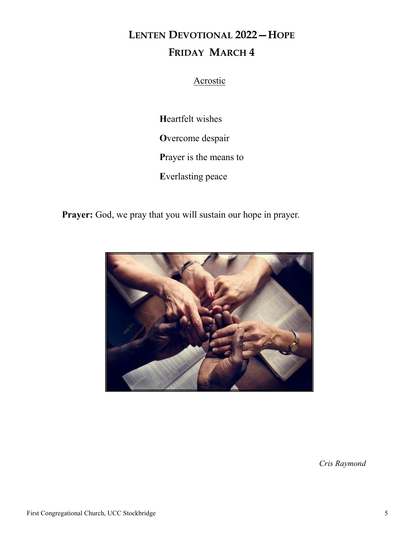### **LENTEN DEVOTIONAL 2022—HOPE FRIDAY MARCH 4**

#### Acrostic

**H**eartfelt wishes **O**vercome despair **P**rayer is the means to **E**verlasting peace

Prayer: God, we pray that you will sustain our hope in prayer.



*Cris Raymond*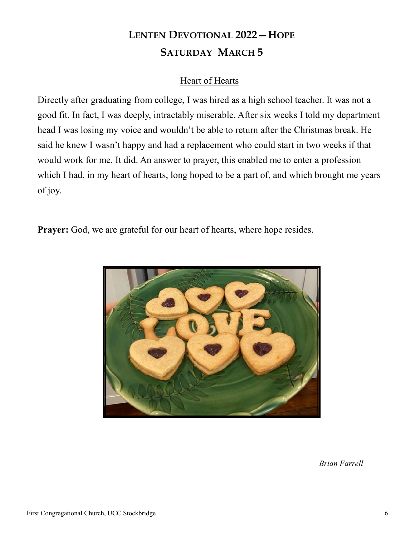### **LENTEN DEVOTIONAL 2022—HOPE SATURDAY MARCH 5**

#### Heart of Hearts

Directly after graduating from college, I was hired as a high school teacher. It was not a good fit. In fact, I was deeply, intractably miserable. After six weeks I told my department head I was losing my voice and wouldn't be able to return after the Christmas break. He said he knew I wasn't happy and had a replacement who could start in two weeks if that would work for me. It did. An answer to prayer, this enabled me to enter a profession which I had, in my heart of hearts, long hoped to be a part of, and which brought me years of joy.

**Prayer:** God, we are grateful for our heart of hearts, where hope resides.



*Brian Farrell*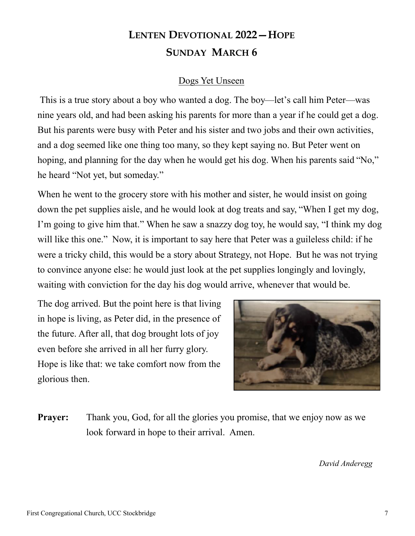#### **LENTEN DEVOTIONAL 2022—HOPE SUNDAY MARCH 6**

#### Dogs Yet Unseen

This is a true story about a boy who wanted a dog. The boy—let's call him Peter—was nine years old, and had been asking his parents for more than a year if he could get a dog. But his parents were busy with Peter and his sister and two jobs and their own activities, and a dog seemed like one thing too many, so they kept saying no. But Peter went on hoping, and planning for the day when he would get his dog. When his parents said "No," he heard "Not yet, but someday."

When he went to the grocery store with his mother and sister, he would insist on going down the pet supplies aisle, and he would look at dog treats and say, "When I get my dog, I'm going to give him that." When he saw a snazzy dog toy, he would say, "I think my dog will like this one." Now, it is important to say here that Peter was a guileless child: if he were a tricky child, this would be a story about Strategy, not Hope. But he was not trying to convince anyone else: he would just look at the pet supplies longingly and lovingly, waiting with conviction for the day his dog would arrive, whenever that would be.

The dog arrived. But the point here is that living in hope is living, as Peter did, in the presence of the future. After all, that dog brought lots of joy even before she arrived in all her furry glory. Hope is like that: we take comfort now from the glorious then.



**Prayer:** Thank you, God, for all the glories you promise, that we enjoy now as we look forward in hope to their arrival. Amen.

*David Anderegg*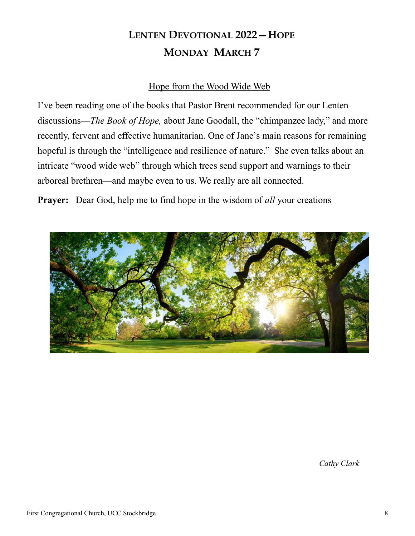### **LENTEN DEVOTIONAL 2022—HOPE MONDAY MARCH 7**

#### Hope from the Wood Wide Web

I've been reading one of the books that Pastor Brent recommended for our Lenten discussions—*The Book of Hope,* about Jane Goodall, the "chimpanzee lady," and more recently, fervent and effective humanitarian. One of Jane's main reasons for remaining hopeful is through the "intelligence and resilience of nature." She even talks about an intricate "wood wide web" through which trees send support and warnings to their arboreal brethren—and maybe even to us. We really are all connected.

**Prayer:** Dear God, help me to find hope in the wisdom of *all* your creations



*Cathy Clark*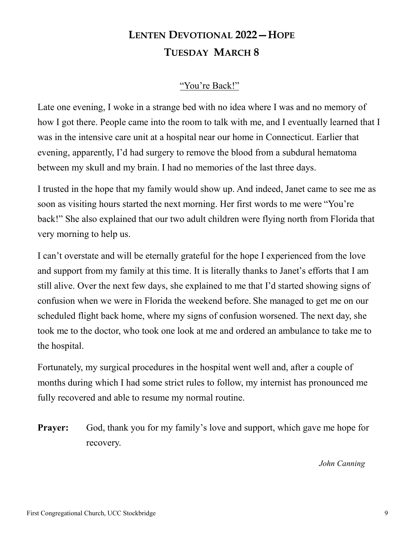### **LENTEN DEVOTIONAL 2022—HOPE TUESDAY MARCH 8**

#### "You're Back!"

Late one evening, I woke in a strange bed with no idea where I was and no memory of how I got there. People came into the room to talk with me, and I eventually learned that I was in the intensive care unit at a hospital near our home in Connecticut. Earlier that evening, apparently, I'd had surgery to remove the blood from a subdural hematoma between my skull and my brain. I had no memories of the last three days.

I trusted in the hope that my family would show up. And indeed, Janet came to see me as soon as visiting hours started the next morning. Her first words to me were "You're back!" She also explained that our two adult children were flying north from Florida that very morning to help us.

I can't overstate and will be eternally grateful for the hope I experienced from the love and support from my family at this time. It is literally thanks to Janet's efforts that I am still alive. Over the next few days, she explained to me that I'd started showing signs of confusion when we were in Florida the weekend before. She managed to get me on our scheduled flight back home, where my signs of confusion worsened. The next day, she took me to the doctor, who took one look at me and ordered an ambulance to take me to the hospital.

Fortunately, my surgical procedures in the hospital went well and, after a couple of months during which I had some strict rules to follow, my internist has pronounced me fully recovered and able to resume my normal routine.

**Prayer:** God, thank you for my family's love and support, which gave me hope for recovery.

*John Canning*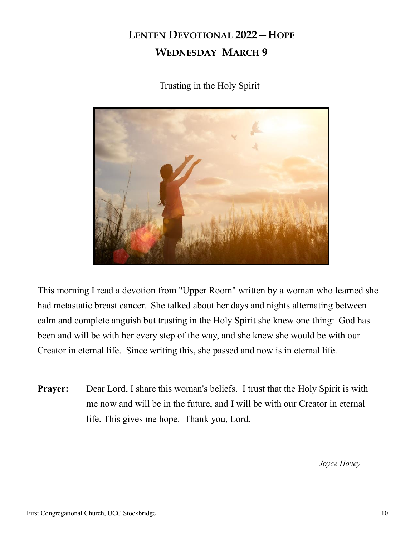### **LENTEN DEVOTIONAL 2022—HOPE WEDNESDAY MARCH 9**

Trusting in the Holy Spirit



This morning I read a devotion from "Upper Room" written by a woman who learned she had metastatic breast cancer. She talked about her days and nights alternating between calm and complete anguish but trusting in the Holy Spirit she knew one thing: God has been and will be with her every step of the way, and she knew she would be with our Creator in eternal life. Since writing this, she passed and now is in eternal life.

**Prayer:** Dear Lord, I share this woman's beliefs. I trust that the Holy Spirit is with me now and will be in the future, and I will be with our Creator in eternal life. This gives me hope. Thank you, Lord.

*Joyce Hovey*